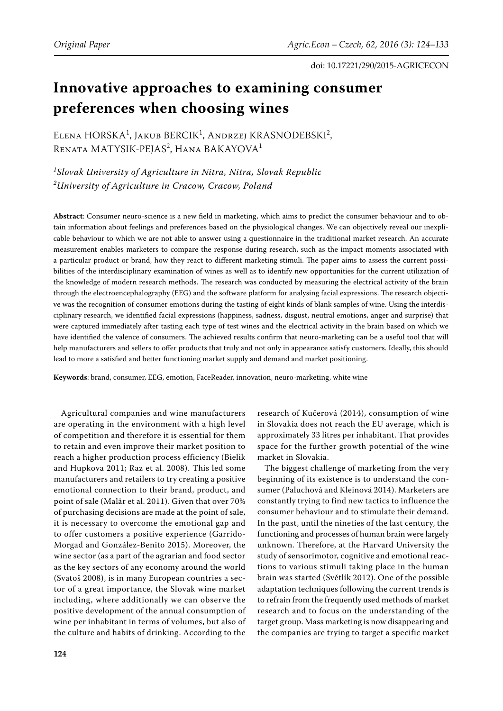# **Innovative approaches to examining consumer preferences when choosing wines**

Elena HORSKA<sup>1</sup>, Jakub BERCIK<sup>1</sup>, Andrzej KRASNODEBSKI<sup>2</sup>, Renata MATYSIK-PEJAS $^2$ , Hana BAKAYOVA $^1$ 

*1 Slovak University of Agriculture in Nitra, Nitra, Slovak Republic 2 University of Agriculture in Cracow, Cracow, Poland*

Abstract: Consumer neuro-science is a new field in marketing, which aims to predict the consumer behaviour and to obtain information about feelings and preferences based on the physiological changes. We can objectively reveal our inexplicable behaviour to which we are not able to answer using a questionnaire in the traditional market research. An accurate measurement enables marketers to compare the response during research, such as the impact moments associated with a particular product or brand, how they react to different marketing stimuli. The paper aims to assess the current possibilities of the interdisciplinary examination of wines as well as to identify new opportunities for the current utilization of the knowledge of modern research methods. The research was conducted by measuring the electrical activity of the brain through the electroencephalography (EEG) and the software platform for analysing facial expressions. The research objective was the recognition of consumer emotions during the tasting of eight kinds of blank samples of wine. Using the interdisciplinary research, we identified facial expressions (happiness, sadness, disgust, neutral emotions, anger and surprise) that were captured immediately after tasting each type of test wines and the electrical activity in the brain based on which we have identified the valence of consumers. The achieved results confirm that neuro-marketing can be a useful tool that will help manufacturers and sellers to offer products that truly and not only in appearance satisfy customers. Ideally, this should lead to more a satisfied and better functioning market supply and demand and market positioning.

**Keywords**: brand, consumer, EEG, emotion, FaceReader, innovation, neuro-marketing, white wine

Agricultural companies and wine manufacturers are operating in the environment with a high level of competition and therefore it is essential for them to retain and even improve their market position to reach a higher production process efficiency (Bielik and Hupkova 2011; Raz et al. 2008). This led some manufacturers and retailers to try creating a positive emotional connection to their brand, product, and point of sale (Malär et al. 2011). Given that over 70% of purchasing decisions are made at the point of sale, it is necessary to overcome the emotional gap and to offer customers a positive experience (Garrido-Morgad and González-Benito 2015). Moreover, the wine sector (as a part of the agrarian and food sector as the key sectors of any economy around the world (Svatoš 2008), is in many European countries a sector of a great importance, the Slovak wine market including, where additionally we can observe the positive development of the annual consumption of wine per inhabitant in terms of volumes, but also of the culture and habits of drinking. According to the

research of Kučerová (2014), consumption of wine in Slovakia does not reach the EU average, which is approximately 33 litres per inhabitant. That provides space for the further growth potential of the wine market in Slovakia.

The biggest challenge of marketing from the very beginning of its existence is to understand the consumer (Paluchová and Kleinová 2014). Marketers are constantly trying to find new tactics to influence the consumer behaviour and to stimulate their demand. In the past, until the nineties of the last century, the functioning and processes of human brain were largely unknown. Therefore, at the Harvard University the study of sensorimotor, cognitive and emotional reactions to various stimuli taking place in the human brain was started (Světlík 2012). One of the possible adaptation techniques following the current trends is to refrain from the frequently used methods of market research and to focus on the understanding of the target group. Mass marketing is now disappearing and the companies are trying to target a specific market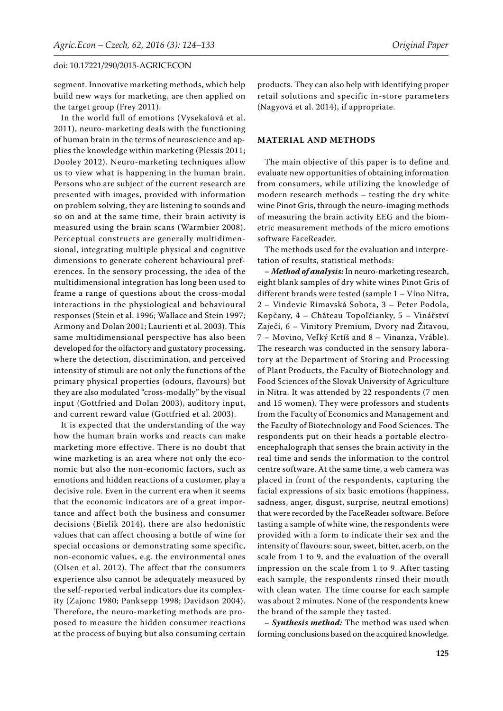segment. Innovative marketing methods, which help build new ways for marketing, are then applied on the target group (Frey 2011).

In the world full of emotions (Vysekalová et al. 2011), neuro-marketing deals with the functioning of human brain in the terms of neuroscience and applies the knowledge within marketing (Plessis 2011; Dooley 2012). Neuro-marketing techniques allow us to view what is happening in the human brain. Persons who are subject of the current research are presented with images, provided with information on problem solving, they are listening to sounds and so on and at the same time, their brain activity is measured using the brain scans (Warmbier 2008). Perceptual constructs are generally multidimensional, integrating multiple physical and cognitive dimensions to generate coherent behavioural preferences. In the sensory processing, the idea of the multidimensional integration has long been used to frame a range of questions about the cross-modal interactions in the physiological and behavioural responses (Stein et al. 1996; Wallace and Stein 1997; Armony and Dolan 2001; Laurienti et al. 2003). This same multidimensional perspective has also been developed for the olfactory and gustatory processing, where the detection, discrimination, and perceived intensity of stimuli are not only the functions of the primary physical properties (odours, flavours) but they are also modulated "cross-modally" by the visual input (Gottfried and Dolan 2003), auditory input, and current reward value (Gottfried et al. 2003).

It is expected that the understanding of the way how the human brain works and reacts can make marketing more effective. There is no doubt that wine marketing is an area where not only the economic but also the non-economic factors, such as emotions and hidden reactions of a customer, play a decisive role. Even in the current era when it seems that the economic indicators are of a great importance and affect both the business and consumer decisions (Bielik 2014), there are also hedonistic values that can affect choosing a bottle of wine for special occasions or demonstrating some specific, non-economic values, e.g. the environmental ones (Olsen et al. 2012). The affect that the consumers experience also cannot be adequately measured by the self-reported verbal indicators due its complexity (Zajonc 1980; Panksepp 1998; Davidson 2004). Therefore, the neuro-marketing methods are proposed to measure the hidden consumer reactions at the process of buying but also consuming certain products. They can also help with identifying proper retail solutions and specific in-store parameters (Nagyová et al. 2014), if appropriate.

#### **MATERIAL AND METHODS**

The main objective of this paper is to define and evaluate new opportunities of obtaining information from consumers, while utilizing the knowledge of modern research methods – testing the dry white wine Pinot Gris, through the neuro-imaging methods of measuring the brain activity EEG and the biometric measurement methods of the micro emotions software FaceReader.

The methods used for the evaluation and interpretation of results, statistical methods:

**–** *Method of analysis:* In neuro-marketing research, eight blank samples of dry white wines Pinot Gris of different brands were tested (sample 1 – Víno Nitra, 2 – Vindevie Rimavská Sobota, 3 – Peter Podola, Kopčany, 4 – Château Topoľčianky, 5 – Vinářství Zaječí, 6 – Vinitory Premium, Dvory nad Žitavou, 7 – Movino, Veľký Krtíš and 8 – Vinanza, Vráble). The research was conducted in the sensory laboratory at the Department of Storing and Processing of Plant Products, the Faculty of Biotechnology and Food Sciences of the Slovak University of Agriculture in Nitra. It was attended by 22 respondents (7 men and 15 women). They were professors and students from the Faculty of Economics and Management and the Faculty of Biotechnology and Food Sciences. The respondents put on their heads a portable electroencephalograph that senses the brain activity in the real time and sends the information to the control centre software. At the same time, a web camera was placed in front of the respondents, capturing the facial expressions of six basic emotions (happiness, sadness, anger, disgust, surprise, neutral emotions) that were recorded by the FaceReader software. Before tasting a sample of white wine, the respondents were provided with a form to indicate their sex and the intensity of flavours: sour, sweet, bitter, acerb, on the scale from 1 to 9, and the evaluation of the overall impression on the scale from 1 to 9. After tasting each sample, the respondents rinsed their mouth with clean water. The time course for each sample was about 2 minutes. None of the respondents knew the brand of the sample they tasted.

**–** *Synthesis method:* The method was used when forming conclusions based on the acquired knowledge.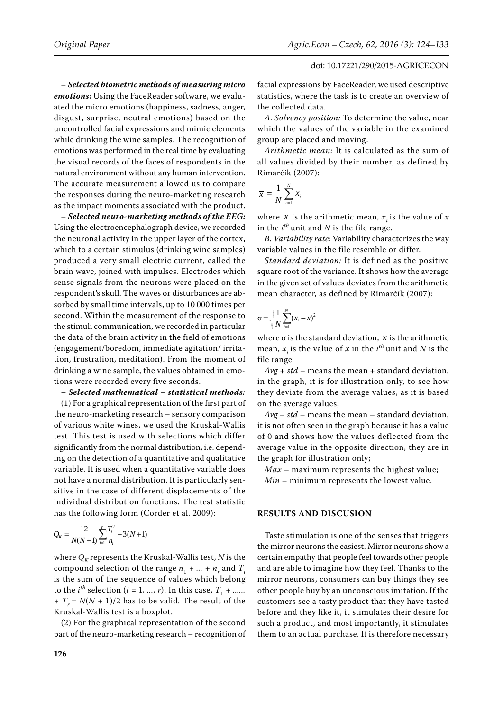**–** *Selected biometric methods of measuring micro emotions:* Using the FaceReader software, we evaluated the micro emotions (happiness, sadness, anger, disgust, surprise, neutral emotions) based on the uncontrolled facial expressions and mimic elements while drinking the wine samples. The recognition of emotions was performed in the real time by evaluating the visual records of the faces of respondents in the natural environment without any human intervention. The accurate measurement allowed us to compare the responses during the neuro-marketing research as the impact moments associated with the product.

**–** *Selected neuro-marketing methods of the EEG:* Using the electroencephalograph device, we recorded the neuronal activity in the upper layer of the cortex, which to a certain stimulus (drinking wine samples) produced a very small electric current, called the brain wave, joined with impulses. Electrodes which sense signals from the neurons were placed on the respondent's skull. The waves or disturbances are absorbed by small time intervals, up to 10 000 times per second. Within the measurement of the response to the stimuli communication, we recorded in particular the data of the brain activity in the field of emotions (engagement/boredom, immediate agitation/ irritation, frustration, meditation). From the moment of drinking a wine sample, the values obtained in emotions were recorded every five seconds.

## **–** *Selected mathematical – statistical methods:*

(1) For a graphical representation of the first part of the neuro-marketing research – sensory comparison of various white wines, we used the Kruskal-Wallis test. This test is used with selections which differ significantly from the normal distribution, i.e. depending on the detection of a quantitative and qualitative variable. It is used when a quantitative variable does not have a normal distribution. It is particularly sensitive in the case of different displacements of the individual distribution functions. The test statistic has the following form (Corder et al. 2009):

$$
Q_K = \frac{12}{N(N+1)} \sum_{i=1}^{r} \frac{T_i^2}{n_i} - 3(N+1)
$$

where  $Q_K$  represents the Kruskal-Wallis test, N is the compound selection of the range  $n_1 + ... + n_r$  and  $T_i$ is the sum of the sequence of values which belong to the *i*<sup>th</sup> selection (*i* = 1, ..., *r*). In this case,  $T_1$  + ...... *+ T<sub>r</sub>* =  $N(N + 1)/2$  has to be valid. The result of the Kruskal-Wallis test is a boxplot.

(2) For the graphical representation of the second part of the neuro-marketing research – recognition of facial expressions by FaceReader, we used descriptive statistics, where the task is to create an overview of the collected data.

*A. Solvency position:* To determine the value, near which the values of the variable in the examined group are placed and moving.

*Arithmetic mean:* It is calculated as the sum of all values divided by their number, as defined by Rimarčík (2007):

$$
\overline{x} = \frac{1}{N} \sum_{i=1}^{N} x_i
$$

where  $\bar{x}$  is the arithmetic mean,  $x_i$  is the value of x in the  $i^{th}$  unit and  $N$  is the file range.

*B. Variability rate:* Variability characterizes the way variable values in the file resemble or differ.

*Standard deviation:* It is defined as the positive square root of the variance. It shows how the average in the given set of values deviates from the arithmetic mean character, as defined by Rimarčík (2007):

$$
\sigma = \sqrt{\frac{1}{N} \sum_{i=1}^{N} (x_i - \overline{x})^2}
$$

where  $\sigma$  is the standard deviation,  $\bar{x}$  is the arithmetic mean,  $x_i$  is the value of  $x$  in the  $i^{th}$  unit and  $N$  is the file range

*Avg + std* – means the mean + standard deviation, in the graph, it is for illustration only, to see how they deviate from the average values, as it is based on the average values;

 $Avg - std$  – means the mean – standard deviation, it is not often seen in the graph because it has a value of 0 and shows how the values deflected from the average value in the opposite direction, they are in the graph for illustration only;

*Max* – maximum represents the highest value; *Min* – minimum represents the lowest value.

## **RESULTS AND DISCUSION**

Taste stimulation is one of the senses that triggers the mirror neurons the easiest. Mirror neurons show a certain empathy that people feel towards other people and are able to imagine how they feel. Thanks to the mirror neurons, consumers can buy things they see other people buy by an unconscious imitation. If the customers see a tasty product that they have tasted before and they like it, it stimulates their desire for such a product, and most importantly, it stimulates them to an actual purchase. It is therefore necessary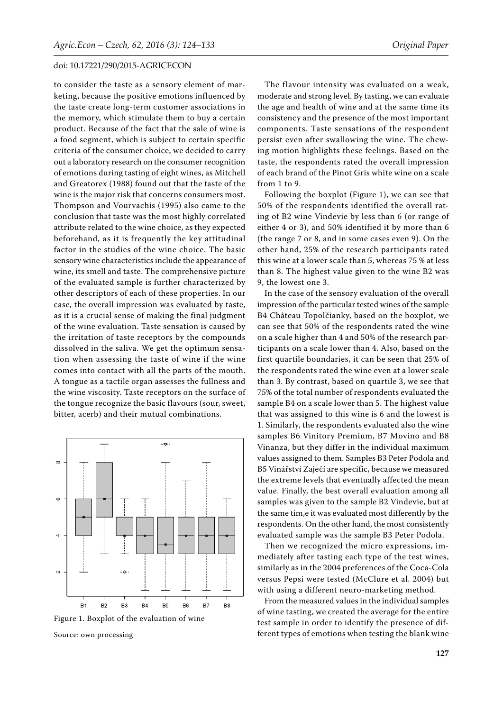to consider the taste as a sensory element of marketing, because the positive emotions influenced by the taste create long-term customer associations in the memory, which stimulate them to buy a certain product. Because of the fact that the sale of wine is a food segment, which is subject to certain specific criteria of the consumer choice, we decided to carry out a laboratory research on the consumer recognition of emotions during tasting of eight wines, as Mitchell and Greatorex (1988) found out that the taste of the wine is the major risk that concerns consumers most. Thompson and Vourvachis (1995) also came to the conclusion that taste was the most highly correlated attribute related to the wine choice, as they expected beforehand, as it is frequently the key attitudinal factor in the studies of the wine choice. The basic sensory wine characteristics include the appearance of wine, its smell and taste. The comprehensive picture of the evaluated sample is further characterized by other descriptors of each of these properties. In our case, the overall impression was evaluated by taste, as it is a crucial sense of making the final judgment of the wine evaluation. Taste sensation is caused by the irritation of taste receptors by the compounds dissolved in the saliva. We get the optimum sensation when assessing the taste of wine if the wine comes into contact with all the parts of the mouth. A tongue as a tactile organ assesses the fullness and the wine viscosity. Taste receptors on the surface of the tongue recognize the basic flavours (sour, sweet, bitter, acerb) and their mutual combinations.



Figure 1. Boxplot of the evaluation of wine

Source: own processing

The flavour intensity was evaluated on a weak, moderate and strong level. By tasting, we can evaluate the age and health of wine and at the same time its consistency and the presence of the most important components. Taste sensations of the respondent persist even after swallowing the wine. The chewing motion highlights these feelings. Based on the taste, the respondents rated the overall impression of each brand of the Pinot Gris white wine on a scale from 1 to 9.

Following the boxplot (Figure 1), we can see that 50% of the respondents identified the overall rating of B2 wine Vindevie by less than 6 (or range of either 4 or 3), and 50% identified it by more than 6 (the range 7 or 8, and in some cases even 9). On the other hand, 25% of the research participants rated this wine at a lower scale than 5, whereas 75 % at less than 8. The highest value given to the wine B2 was 9, the lowest one 3.

In the case of the sensory evaluation of the overall impression of the particular tested wines of the sample B4 Château Topoľčianky, based on the boxplot, we can see that 50% of the respondents rated the wine on a scale higher than 4 and 50% of the research participants on a scale lower than 4. Also, based on the first quartile boundaries, it can be seen that 25% of the respondents rated the wine even at a lower scale than 3. By contrast, based on quartile 3, we see that 75% of the total number of respondents evaluated the sample B4 on a scale lower than 5. The highest value that was assigned to this wine is 6 and the lowest is 1. Similarly, the respondents evaluated also the wine samples B6 Vinitory Premium, B7 Movino and B8 Vinanza, but they differ in the individual maximum values assigned to them. Samples B3 Peter Podola and B5 Vinářství Zaječí are specific, because we measured the extreme levels that eventually affected the mean value. Finally, the best overall evaluation among all samples was given to the sample B2 Vindevie, but at the same tim,e it was evaluated most differently by the respondents. On the other hand, the most consistently evaluated sample was the sample B3 Peter Podola.

Then we recognized the micro expressions, immediately after tasting each type of the test wines, similarly as in the 2004 preferences of the Coca-Cola versus Pepsi were tested (McClure et al. 2004) but with using a different neuro-marketing method.

From the measured values in the individual samples of wine tasting, we created the average for the entire test sample in order to identify the presence of different types of emotions when testing the blank wine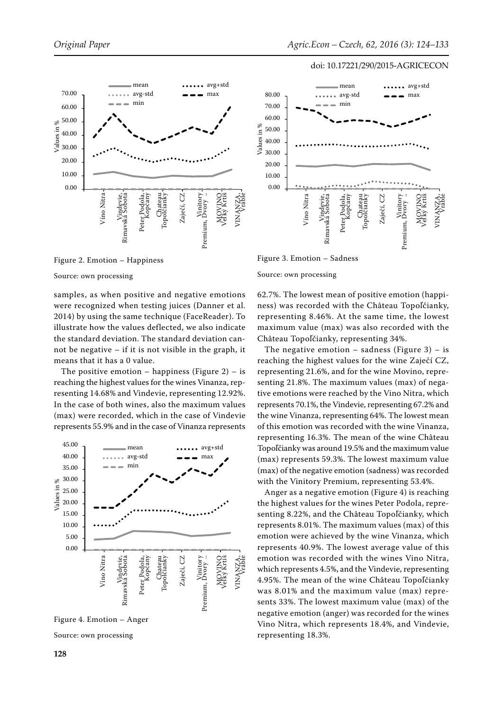

Figure 2. Emotion – Happiness

Source: own processing

samples, as when positive and negative emotions were recognized when testing juices (Danner et al. 2014) by using the same technique (FaceReader). To illustrate how the values deflected, we also indicate the standard deviation. The standard deviation cannot be negative – if it is not visible in the graph, it means that it has a 0 value.

The positive emotion – happiness (Figure 2) – is reaching the highest values for the wines Vinanza, representing 14.68% and Vindevie, representing 12.92%. In the case of both wines, also the maximum values (max) were recorded, which in the case of Vindevie represents 55.9% and in the case of Vinanza represents



Figure 4. Emotion – Anger

Source: own processing



Figure 3. Emotion – Sadness

#### Source: own processing

62.7%. The lowest mean of positive emotion (happiness) was recorded with the Château Topoľčianky, representing 8.46%. At the same time, the lowest maximum value (max) was also recorded with the Château Topoľčianky, representing 34%.

The negative emotion  $-$  sadness (Figure 3)  $-$  is reaching the highest values for the wine Zaječí CZ, representing 21.6%, and for the wine Movino, representing 21.8%. The maximum values (max) of negative emotions were reached by the Vino Nitra, which represents 70.1%, the Vindevie, representing 67.2% and the wine Vinanza, representing 64%. The lowest mean of this emotion was recorded with the wine Vinanza, representing 16.3%. The mean of the wine Château Topoľčianky was around 19.5% and the maximum value (max) represents 59.3%. The lowest maximum value (max) of the negative emotion (sadness) was recorded with the Vinitory Premium, representing 53.4%.

Anger as a negative emotion (Figure 4) is reaching the highest values for the wines Peter Podola, representing 8.22%, and the Château Topoľčianky, which represents 8.01%. The maximum values (max) of this emotion were achieved by the wine Vinanza, which represents 40.9%. The lowest average value of this emotion was recorded with the wines Vino Nitra, which represents 4.5%, and the Vindevie, representing 4.95%. The mean of the wine Château Topoľčianky was 8.01% and the maximum value (max) represents 33%. The lowest maximum value (max) of the negative emotion (anger) was recorded for the wines Vino Nitra, which represents 18.4%, and Vindevie, representing 18.3%.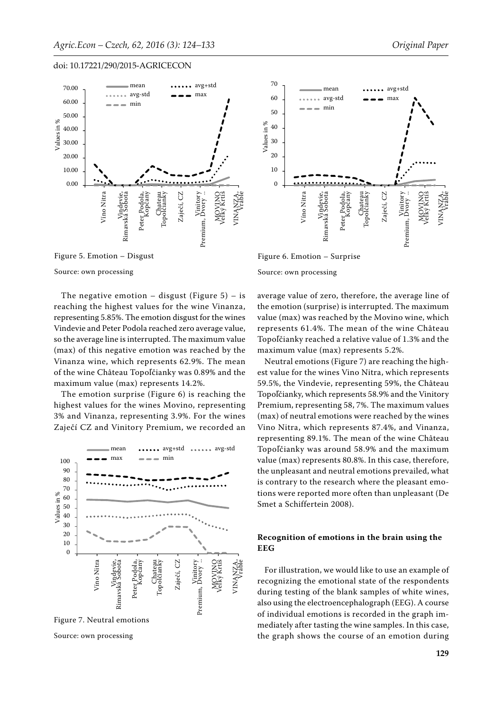

Figure 5. Emotion – Disgust

Source: own processing

The negative emotion – disgust (Figure  $5$ ) – is reaching the highest values for the wine Vinanza, representing 5.85%. The emotion disgust for the wines Vindevie and Peter Podola reached zero average value, so the average line is interrupted. The maximum value (max) of this negative emotion was reached by the Vinanza wine, which represents 62.9%. The mean of the wine Château Topoľčianky was 0.89% and the maximum value (max) represents 14.2%.

The emotion surprise (Figure 6) is reaching the highest values for the wines Movino, representing 3% and Vinanza, representing 3.9%. For the wines Zaječí CZ and Vinitory Premium, we recorded an



Source: own processing

70 mean ...... avg+std 60  $\bullet\bullet$  avg-std  $\bullet\bullet$  max  $=$  min 50 40 30  $20$ I 10  $\Omega$ Chateau<br>Topolcianky Vindevie, Rimavská Sobota Chateau Vinitory Premium, Dvory .. Víno Nitra Vindevie,<br>Rimavská Sobota Topolčianky Zaječí, CZ Vinitory<br>Premium, Dvory MOVINO<br>Veľký Krtíš Víno Nitra VINANZA,<br>Vráble ter Podola<br>Kopčan

Figure 6. Emotion – Surprise

#### Source: own processing

Values in %

Values in %

average value of zero, therefore, the average line of the emotion (surprise) is interrupted. The maximum value (max) was reached by the Movino wine, which represents 61.4%. The mean of the wine Château Topoľčianky reached a relative value of 1.3% and the maximum value (max) represents 5.2%.

Neutral emotions (Figure 7) are reaching the highest value for the wines Vino Nitra, which represents 59.5%, the Vindevie, representing 59%, the Château Topoľčianky, which represents 58.9% and the Vinitory Premium, representing 58, 7%. The maximum values (max) of neutral emotions were reached by the wines Vino Nitra, which represents 87.4%, and Vinanza, representing 89.1%. The mean of the wine Château Topoľčianky was around 58.9% and the maximum value (max) represents 80.8%. In this case, therefore, the unpleasant and neutral emotions prevailed, what is contrary to the research where the pleasant emotions were reported more often than unpleasant (De Smet a Schiffertein 2008).

## **Recognition of emotions in the brain using the EEG**

For illustration, we would like to use an example of recognizing the emotional state of the respondents during testing of the blank samples of white wines, also using the electroencephalograph (EEG). A course of individual emotions is recorded in the graph immediately after tasting the wine samples. In this case, the graph shows the course of an emotion during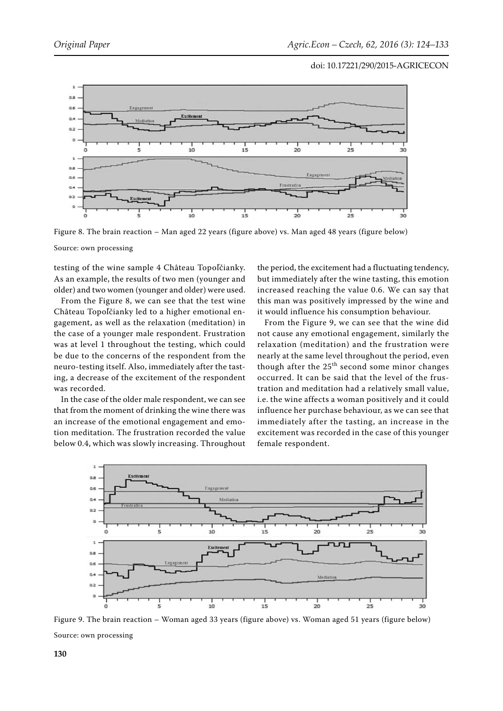

Figure 8. The brain reaction – Man aged 22 years (figure above) vs. Man aged 48 years (figure below) Source: own processing

testing of the wine sample 4 Château Topoľčianky. As an example, the results of two men (younger and older) and two women (younger and older) were used.

From the Figure 8, we can see that the test wine Château Topoľčianky led to a higher emotional engagement, as well as the relaxation (meditation) in the case of a younger male respondent. Frustration was at level 1 throughout the testing, which could be due to the concerns of the respondent from the neuro-testing itself. Also, immediately after the tasting, a decrease of the excitement of the respondent was recorded.

In the case of the older male respondent, we can see that from the moment of drinking the wine there was an increase of the emotional engagement and emotion meditation. The frustration recorded the value below 0.4, which was slowly increasing. Throughout

the period, the excitement had a fluctuating tendency, but immediately after the wine tasting, this emotion increased reaching the value 0.6. We can say that this man was positively impressed by the wine and it would influence his consumption behaviour.

From the Figure 9, we can see that the wine did not cause any emotional engagement, similarly the relaxation (meditation) and the frustration were nearly at the same level throughout the period, even though after the 25<sup>th</sup> second some minor changes occurred. It can be said that the level of the frustration and meditation had a relatively small value, i.e. the wine affects a woman positively and it could influence her purchase behaviour, as we can see that immediately after the tasting, an increase in the excitement was recorded in the case of this younger female respondent.



Figure 9. The brain reaction – Woman aged 33 years (figure above) vs. Woman aged 51 years (figure below) Source: own processing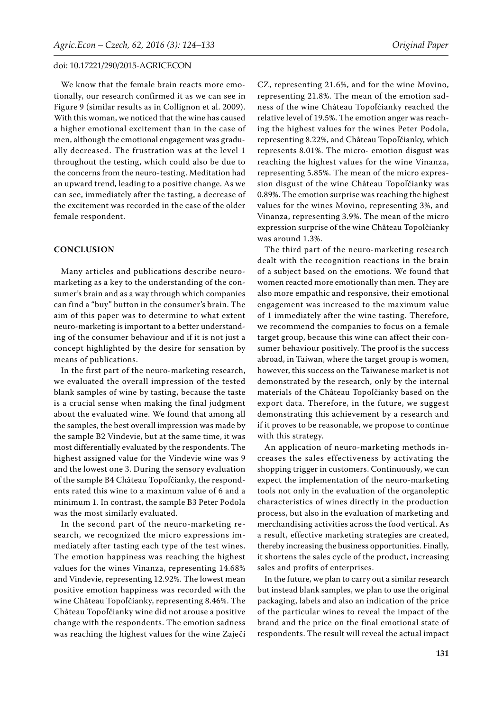We know that the female brain reacts more emotionally, our research confirmed it as we can see in Figure 9 (similar results as in Collignon et al. 2009). With this woman, we noticed that the wine has caused a higher emotional excitement than in the case of men, although the emotional engagement was gradually decreased. The frustration was at the level 1 throughout the testing, which could also be due to the concerns from the neuro-testing. Meditation had an upward trend, leading to a positive change. As we can see, immediately after the tasting, a decrease of the excitement was recorded in the case of the older female respondent.

## **CONCLUSION**

Many articles and publications describe neuromarketing as a key to the understanding of the consumer's brain and as a way through which companies can find a "buy" button in the consumer's brain. The aim of this paper was to determine to what extent neuro-marketing is important to a better understanding of the consumer behaviour and if it is not just a concept highlighted by the desire for sensation by means of publications.

In the first part of the neuro-marketing research, we evaluated the overall impression of the tested blank samples of wine by tasting, because the taste is a crucial sense when making the final judgment about the evaluated wine. We found that among all the samples, the best overall impression was made by the sample B2 Vindevie, but at the same time, it was most differentially evaluated by the respondents. The highest assigned value for the Vindevie wine was 9 and the lowest one 3. During the sensory evaluation of the sample B4 Château Topoľčianky, the respondents rated this wine to a maximum value of 6 and a minimum 1. In contrast, the sample B3 Peter Podola was the most similarly evaluated.

In the second part of the neuro-marketing research, we recognized the micro expressions immediately after tasting each type of the test wines. The emotion happiness was reaching the highest values for the wines Vinanza, representing 14.68% and Vindevie, representing 12.92%. The lowest mean positive emotion happiness was recorded with the wine Château Topoľčianky, representing 8.46%. The Château Topoľčianky wine did not arouse a positive change with the respondents. The emotion sadness was reaching the highest values for the wine Zaječí

CZ, representing 21.6%, and for the wine Movino, representing 21.8%. The mean of the emotion sadness of the wine Château Topoľčianky reached the relative level of 19.5%. The emotion anger was reaching the highest values for the wines Peter Podola, representing 8.22%, and Château Topoľčianky, which represents 8.01%. The micro- emotion disgust was reaching the highest values for the wine Vinanza, representing 5.85%. The mean of the micro expression disgust of the wine Château Topoľčianky was 0.89%. The emotion surprise was reaching the highest values for the wines Movino, representing 3%, and Vinanza, representing 3.9%. The mean of the micro expression surprise of the wine Château Topoľčianky was around 1.3%.

The third part of the neuro-marketing research dealt with the recognition reactions in the brain of a subject based on the emotions. We found that women reacted more emotionally than men. They are also more empathic and responsive, their emotional engagement was increased to the maximum value of 1 immediately after the wine tasting. Therefore, we recommend the companies to focus on a female target group, because this wine can affect their consumer behaviour positively. The proof is the success abroad, in Taiwan, where the target group is women, however, this success on the Taiwanese market is not demonstrated by the research, only by the internal materials of the Château Topoľčianky based on the export data. Therefore, in the future, we suggest demonstrating this achievement by a research and if it proves to be reasonable, we propose to continue with this strategy.

An application of neuro-marketing methods increases the sales effectiveness by activating the shopping trigger in customers. Continuously, we can expect the implementation of the neuro-marketing tools not only in the evaluation of the organoleptic characteristics of wines directly in the production process, but also in the evaluation of marketing and merchandising activities across the food vertical. As a result, effective marketing strategies are created, thereby increasing the business opportunities. Finally, it shortens the sales cycle of the product, increasing sales and profits of enterprises.

In the future, we plan to carry out a similar research but instead blank samples, we plan to use the original packaging, labels and also an indication of the price of the particular wines to reveal the impact of the brand and the price on the final emotional state of respondents. The result will reveal the actual impact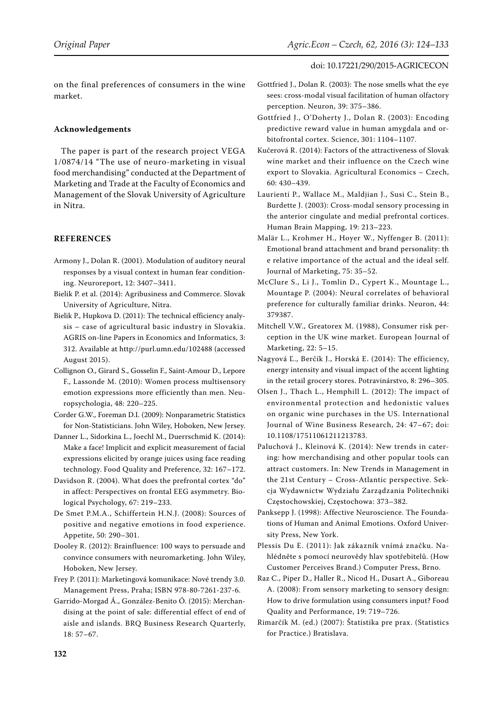on the final preferences of consumers in the wine market.

## **Acknowledgements**

The paper is part of the research project VEGA 1/0874/14 "The use of neuro-marketing in visual food merchandising" conducted at the Department of Marketing and Trade at the Faculty of Economics and Management of the Slovak University of Agriculture in Nitra.

## **REFERENCES**

- Armony J., Dolan R. (2001). Modulation of auditory neural responses by a visual context in human fear conditioning. Neuroreport, 12: 3407–3411.
- Bielik P. et al. (2014): Agribusiness and Commerce. Slovak University of Agriculture, Nitra.
- Bielik P., Hupkova D. (2011): The technical efficiency analysis – case of agricultural basic industry in Slovakia. AGRIS on-line Papers in Economics and Informatics, 3: 312. Available at http://purl.umn.edu/102488 (accessed August 2015).
- Collignon O., Girard S., Gosselin F., Saint-Amour D., Lepore F., Lassonde M. (2010): Women process multisensory emotion expressions more efficiently than men. Neuropsychologia, 48: 220–225.
- Corder G.W., Foreman D.I. (2009): Nonparametric Statistics for Non-Statisticians. John Wiley, Hoboken, New Jersey.
- Danner L., Sidorkina L., Joechl M., Duerrschmid K. (2014): Make a face! Implicit and explicit measurement of facial expressions elicited by orange juices using face reading technology. Food Quality and Preference, 32: 167–172.
- Davidson R. (2004). What does the prefrontal cortex "do" in affect: Perspectives on frontal EEG asymmetry. Biological Psychology, 67: 219–233.
- De Smet P.M.A., Schiffertein H.N.J. (2008): Sources of positive and negative emotions in food experience. Appetite, 50: 290–301.
- Dooley R. (2012): Brainfluence: 100 ways to persuade and convince consumers with neuromarketing. John Wiley, Hoboken, New Jersey.
- Frey P. (2011): Marketingová komunikace: Nové trendy 3.0. Management Press, Praha; ISBN 978-80-7261-237-6.
- Garrido-Morgad Á., González-Benito Ó. (2015): Merchandising at the point of sale: differential effect of end of aisle and islands. BRQ Business Research Quarterly, 18: 57–67.
- Gottfried J., Dolan R. (2003): The nose smells what the eye sees: cross-modal visual facilitation of human olfactory perception. Neuron, 39: 375–386.
- Gottfried J., O'Doherty J., Dolan R. (2003): Encoding predictive reward value in human amygdala and orbitofrontal cortex. Science, 301: 1104–1107.
- Kučerová R. (2014): Factors of the attractiveness of Slovak wine market and their influence on the Czech wine export to Slovakia. Agricultural Economics – Czech, 60: 430–439.
- Laurienti P., Wallace M., Maldjian J., Susi C., Stein B., Burdette J. (2003): Cross-modal sensory processing in the anterior cingulate and medial prefrontal cortices. Human Brain Mapping, 19: 213–223.
- Malär L., Krohmer H., Hoyer W., Nyffenger B. (2011): Emotional brand attachment and brand personality: th e relative importance of the actual and the ideal self. Journal of Marketing, 75: 35–52.
- McClure S., Li J., Tomlin D., Cypert K., Mountage L., Mountage P. (2004): Neural correlates of behavioral preference for culturally familiar drinks. Neuron, 44: 379387.
- Mitchell V.W., Greatorex M. (1988), Consumer risk perception in the UK wine market. European Journal of Marketing, 22: 5–15.
- Nagyová Ľ., Berčík J., Horská E. (2014): The efficiency, energy intensity and visual impact of the accent lighting in the retail grocery stores. Potravinárstvo, 8: 296–305.
- Olsen J., Thach L., Hemphill L. (2012): The impact of environmental protection and hedonistic values on organic wine purchases in the US. International Journal of Wine Business Research, 24: 47–67; doi: 10.1108/17511061211213783.
- Paluchová J., Kleinová K. (2014): New trends in catering: how merchandising and other popular tools can attract customers. In: New Trends in Management in the 21st Century – Cross-Atlantic perspective. Sekcja Wydawnictw Wydziału Zarządzania Politechniki Częstochowskiej, Częstochowa: 373–382.
- Panksepp J. (1998): Affective Neuroscience. The Foundations of Human and Animal Emotions. Oxford University Press, New York.
- Plessis Du E. (2011): Jak zákazník vnímá značku. Nahlédněte s pomocí neurovědy hlav spotřebitelů. (How Customer Perceives Brand.) Computer Press, Brno.
- Raz C., Piper D., Haller R., Nicod H., Dusart A., Giboreau A. (2008): From sensory marketing to sensory design: How to drive formulation using consumers input? Food Quality and Performance, 19: 719–726.
- Rimarčík M. (ed.) (2007): Štatistika pre prax. (Statistics for Practice.) Bratislava.